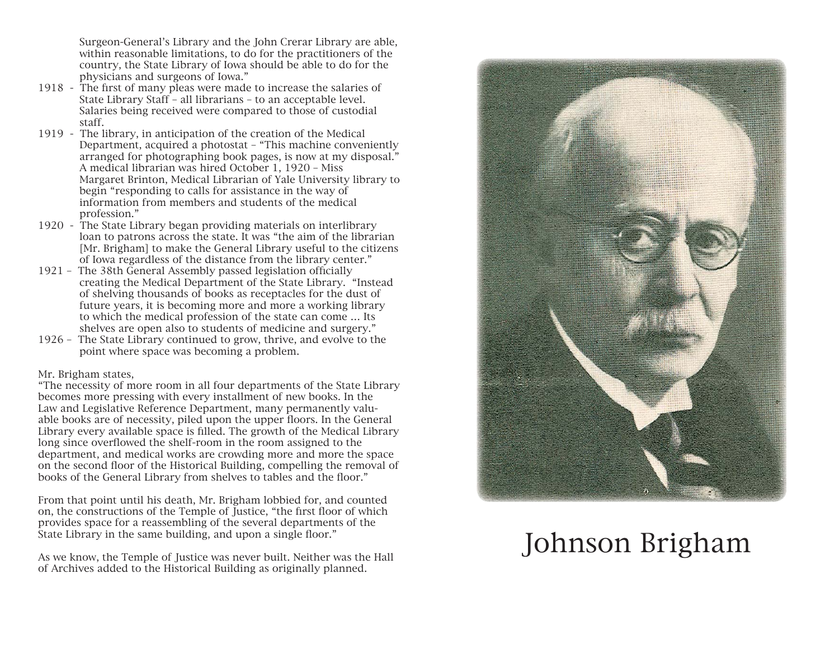Surgeon-General's Library and the John Crerar Library are able, within reasonable limitations, to do for the practitioners of the country, the State Library of Iowa should be able to do for the physicians and surgeons of Iowa."

- 1918 The first of many pleas were made to increase the salaries of State Library Staff – all librarians – to an acceptable level. Salaries being received were compared to those of custodial staff.
- 1919 The library, in anticipation of the creation of the Medical Department, acquired a photostat – "This machine conveniently arranged for photographing book pages, is now at my disposal." A medical librarian was hired October 1, 1920 – Miss Margaret Brinton, Medical Librarian of Yale University library to begin "responding to calls for assistance in the way of information from members and students of the medical profession."
- 1920 The State Library began providing materials on interlibrary loan to patrons across the state. It was "the aim of the librarian [Mr. Brigham] to make the General Library useful to the citizens of Iowa regardless of the distance from the library center."
- 1921 The 38th General Assembly passed legislation officially creating the Medical Department of the State Library. "Instead of shelving thousands of books as receptacles for the dust of future years, it is becoming more and more a working library to which the medical profession of the state can come … Its shelves are open also to students of medicine and surgery."
- 1926 The State Library continued to grow, thrive, and evolve to the point where space was becoming a problem.

## Mr. Brigham states,

"The necessity of more room in all four departments of the State Library becomes more pressing with every installment of new books. In the Law and Legislative Reference Department, many permanently valuable books are of necessity, piled upon the upper floors. In the General Library every available space is filled. The growth of the Medical Library long since overflowed the shelf-room in the room assigned to the department, and medical works are crowding more and more the space on the second floor of the Historical Building, compelling the removal of books of the General Library from shelves to tables and the floor."

From that point until his death, Mr. Brigham lobbied for, and counted on, the constructions of the Temple of Justice, "the first floor of which provides space for a reassembling of the several departments of the State Library in the same building, and upon a single floor."

As we know, the Temple of Justice was never built. Neither was the Hall of Archives added to the Historical Building as originally planned.



## Johnson Brigham